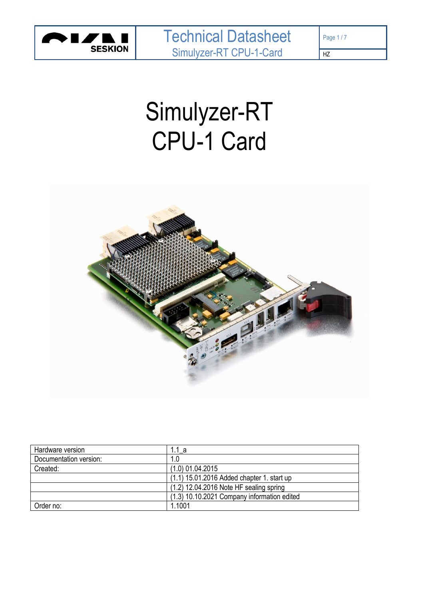

HZ

# Simulyzer-RT CPU-1 Card



| Hardware version       | 1.1 a                                       |
|------------------------|---------------------------------------------|
| Documentation version: | 1.0                                         |
| Created:               | $(1.0)$ 01.04.2015                          |
|                        | (1.1) 15.01.2016 Added chapter 1. start up  |
|                        | (1.2) 12.04.2016 Note HF sealing spring     |
|                        | (1.3) 10.10.2021 Company information edited |
| Order no:              | 1.1001                                      |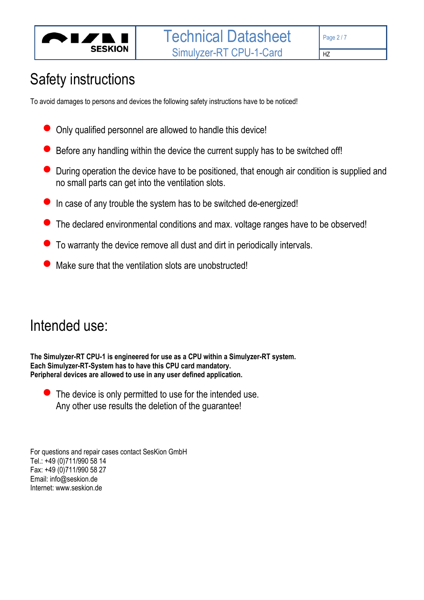

# Safety instructions

To avoid damages to persons and devices the following safety instructions have to be noticed!

- Only qualified personnel are allowed to handle this device!
- Before any handling within the device the current supply has to be switched off!
- During operation the device have to be positioned, that enough air condition is supplied and no small parts can get into the ventilation slots.
- In case of any trouble the system has to be switched de-energized!
- The declared environmental conditions and max. voltage ranges have to be observed!
- To warranty the device remove all dust and dirt in periodically intervals.
- Make sure that the ventilation slots are unobstructed!

# Intended use:

**The Simulyzer-RT CPU-1 is engineered for use as a CPU within a Simulyzer-RT system. Each Simulyzer-RT-System has to have this CPU card mandatory. Peripheral devices are allowed to use in any user defined application.**

 $\bullet$  The device is only permitted to use for the intended use. Any other use results the deletion of the guarantee!

For questions and repair cases contact SesKion GmbH Tel.: +49 (0)711/990 58 14 Fax: +49 (0)711/990 58 27 Email: info@seskion.de Internet: www.seskion.de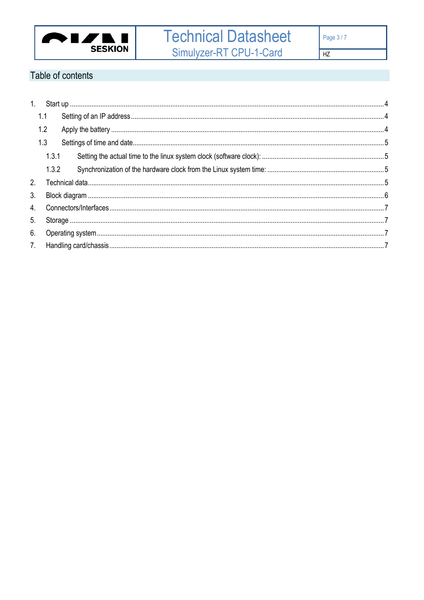

# Table of contents

| 1. |       |  |  |  |  |  |
|----|-------|--|--|--|--|--|
|    | 1.1   |  |  |  |  |  |
|    | 1.2   |  |  |  |  |  |
|    | 1.3   |  |  |  |  |  |
|    | 1.3.1 |  |  |  |  |  |
|    | 1.3.2 |  |  |  |  |  |
|    |       |  |  |  |  |  |
|    |       |  |  |  |  |  |
| 3. |       |  |  |  |  |  |
|    |       |  |  |  |  |  |
| 5. |       |  |  |  |  |  |
| 6. |       |  |  |  |  |  |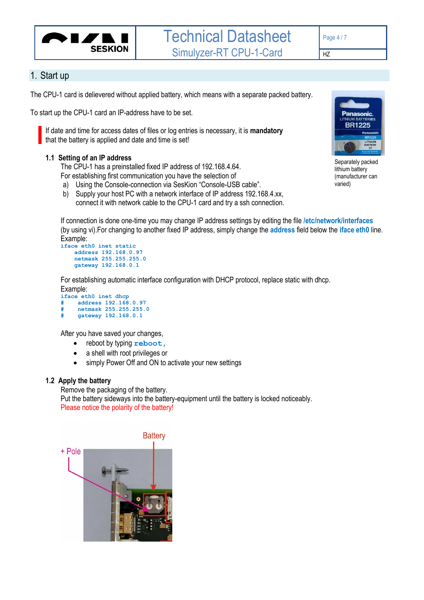

### <span id="page-3-0"></span>1. Start up

The CPU-1 card is delievered without applied battery, which means with a separate packed battery.

To start up the CPU-1 card an IP-address have to be set.

If date and time for access dates of files or log entries is necessary, it is **mandatory** that the battery is applied and date and time is set!

#### <span id="page-3-1"></span>**1.1 Setting of an IP address**

The CPU-1 has a preinstalled fixed IP address of 192.168.4.64. For establishing first communication you have the selection of

- a) Using the Console-connection via SesKion "Console-USB cable".
- b) Supply your host PC with a network interface of IP address 192.168.4.xx,

connect it with network cable to the CPU-1 card and try a ssh connection.

If connection is done one-time you may change IP address settings by editing the file **/etc/network/interfaces** (by using vi).For changing to another fixed IP address, simply change the **address** field below the **iface eth0** line. Example:

```
iface eth0 inet static
     address 192.168.0.97 
     netmask 255.255.255.0 
     gateway 192.168.0.1
```
For establishing automatic interface configuration with DHCP protocol, replace static with dhcp.

Example: **iface eth0 inet dhcp # address 192.168.0.97 # netmask 255.255.255.0 # gateway 192.168.0.1**

After you have saved your changes,

- reboot by typing **reboot,**
- a shell with root privileges or
- simply Power Off and ON to activate your new settings

#### <span id="page-3-2"></span>**1.2 Apply the battery**

Remove the packaging of the battery.

Put the battery sideways into the battery-equipment until the battery is locked noticeably. Please notice the polarity of the battery!





Separately packed lithium battery (manufacturer can varied)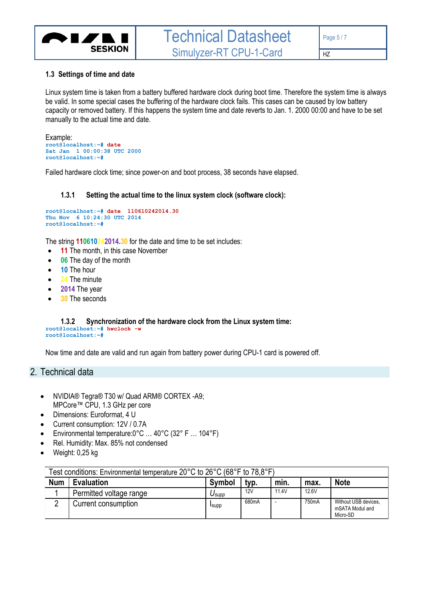

#### <span id="page-4-0"></span>**1.3 Settings of time and date**

Linux system time is taken from a battery buffered hardware clock during boot time. Therefore the system time is always be valid. In some special cases the buffering of the hardware clock fails. This cases can be caused by low battery capacity or removed battery. If this happens the system time and date reverts to Jan. 1. 2000 00:00 and have to be set manually to the actual time and date.

```
Example:
root@localhost:~# date
Sat Jan 1 00:00:38 UTC 2000
root@localhost:~#
```
Failed hardware clock time; since power-on and boot process, 38 seconds have elapsed.

#### **1.3.1 Setting the actual time to the linux system clock (software clock):**

```
root@localhost:~# date 110610242014.30
Thu Nov 6 10:24:30 UTC 2014
root@localhost:~#
```
The string **110610242014.30** for the date and time to be set includes:

- **11** The month, in this case November
- **06** The day of the month
- **10** The hour
- **24** The minute
- **2014** The year
- **30** The seconds

<span id="page-4-2"></span>**1.3.2 Synchronization of the hardware clock from the Linux system time: root@localhost:~# hwclock -w root@localhost:~#**

Now time and date are valid and run again from battery power during CPU-1 card is powered off.

#### <span id="page-4-3"></span>2. Technical data

- NVIDIA® Tegra® T30 w/ Quad ARM® CORTEX -A9; MPCore™ CPU, 1.3 GHz per core
- Dimensions: Euroformat, 4 U
- Current consumption: 12V / 0.7A
- Environmental temperature:0°C … 40°C (32° F … 104°F)
- Rel. Humidity: Max. 85% not condensed
- Weight: 0,25 kg

| Test conditions: Environmental temperature 20°C to 26°C (68°F to 78,8°F) |                         |               |       |       |       |                                                     |  |  |  |
|--------------------------------------------------------------------------|-------------------------|---------------|-------|-------|-------|-----------------------------------------------------|--|--|--|
| <b>Num</b>                                                               | <b>Evaluation</b>       | Symbol        | typ.  | min.  | max.  | <b>Note</b>                                         |  |  |  |
|                                                                          | Permitted voltage range | Jsupp         | 12V   | 11.4V | 12.6V |                                                     |  |  |  |
| ⌒                                                                        | Current consumption     | <b>I</b> supp | 680mA |       | 750mA | Without USB devices.<br>mSATA Modul and<br>Micro-SD |  |  |  |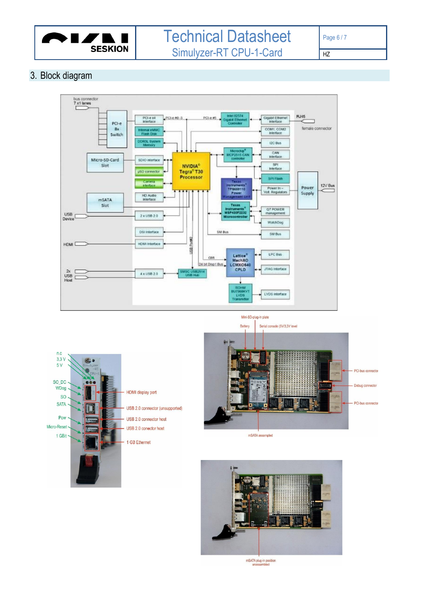

# Technical Datasheet Simulyzer -RT CPU - 1 -Card

HZ

# <span id="page-5-0"></span>3. Block diagram











mSATA plug-in position<br>unassambled